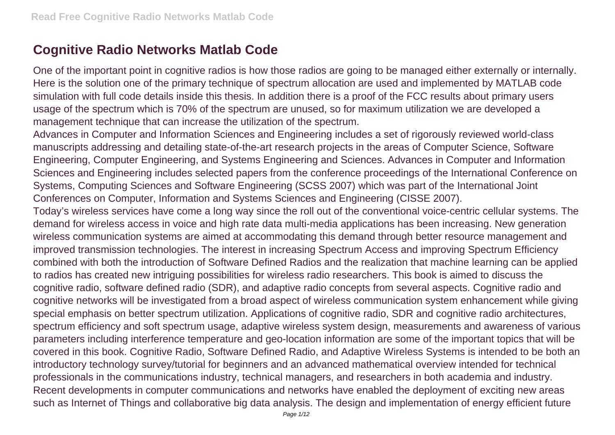## **Cognitive Radio Networks Matlab Code**

One of the important point in cognitive radios is how those radios are going to be managed either externally or internally. Here is the solution one of the primary technique of spectrum allocation are used and implemented by MATLAB code simulation with full code details inside this thesis. In addition there is a proof of the FCC results about primary users usage of the spectrum which is 70% of the spectrum are unused, so for maximum utilization we are developed a management technique that can increase the utilization of the spectrum.

Advances in Computer and Information Sciences and Engineering includes a set of rigorously reviewed world-class manuscripts addressing and detailing state-of-the-art research projects in the areas of Computer Science, Software Engineering, Computer Engineering, and Systems Engineering and Sciences. Advances in Computer and Information Sciences and Engineering includes selected papers from the conference proceedings of the International Conference on Systems, Computing Sciences and Software Engineering (SCSS 2007) which was part of the International Joint Conferences on Computer, Information and Systems Sciences and Engineering (CISSE 2007).

Today's wireless services have come a long way since the roll out of the conventional voice-centric cellular systems. The demand for wireless access in voice and high rate data multi-media applications has been increasing. New generation wireless communication systems are aimed at accommodating this demand through better resource management and improved transmission technologies. The interest in increasing Spectrum Access and improving Spectrum Efficiency combined with both the introduction of Software Defined Radios and the realization that machine learning can be applied to radios has created new intriguing possibilities for wireless radio researchers. This book is aimed to discuss the cognitive radio, software defined radio (SDR), and adaptive radio concepts from several aspects. Cognitive radio and cognitive networks will be investigated from a broad aspect of wireless communication system enhancement while giving special emphasis on better spectrum utilization. Applications of cognitive radio, SDR and cognitive radio architectures, spectrum efficiency and soft spectrum usage, adaptive wireless system design, measurements and awareness of various parameters including interference temperature and geo-location information are some of the important topics that will be covered in this book. Cognitive Radio, Software Defined Radio, and Adaptive Wireless Systems is intended to be both an introductory technology survey/tutorial for beginners and an advanced mathematical overview intended for technical professionals in the communications industry, technical managers, and researchers in both academia and industry. Recent developments in computer communications and networks have enabled the deployment of exciting new areas such as Internet of Things and collaborative big data analysis. The design and implementation of energy efficient future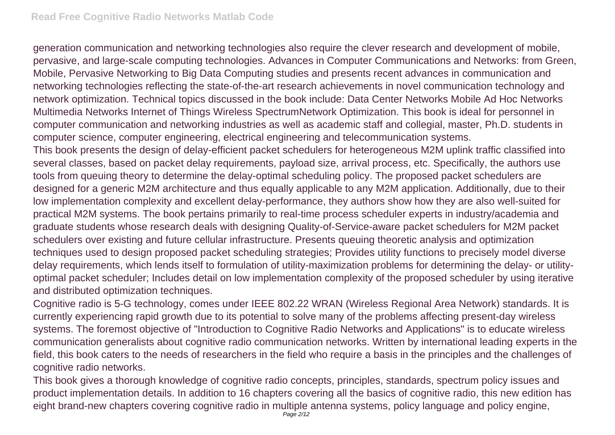generation communication and networking technologies also require the clever research and development of mobile, pervasive, and large-scale computing technologies. Advances in Computer Communications and Networks: from Green, Mobile, Pervasive Networking to Big Data Computing studies and presents recent advances in communication and networking technologies reflecting the state-of-the-art research achievements in novel communication technology and network optimization. Technical topics discussed in the book include: Data Center Networks Mobile Ad Hoc Networks Multimedia Networks Internet of Things Wireless SpectrumNetwork Optimization. This book is ideal for personnel in computer communication and networking industries as well as academic staff and collegial, master, Ph.D. students in computer science, computer engineering, electrical engineering and telecommunication systems.

This book presents the design of delay-efficient packet schedulers for heterogeneous M2M uplink traffic classified into several classes, based on packet delay requirements, payload size, arrival process, etc. Specifically, the authors use tools from queuing theory to determine the delay-optimal scheduling policy. The proposed packet schedulers are designed for a generic M2M architecture and thus equally applicable to any M2M application. Additionally, due to their low implementation complexity and excellent delay-performance, they authors show how they are also well-suited for practical M2M systems. The book pertains primarily to real-time process scheduler experts in industry/academia and graduate students whose research deals with designing Quality-of-Service-aware packet schedulers for M2M packet schedulers over existing and future cellular infrastructure. Presents queuing theoretic analysis and optimization techniques used to design proposed packet scheduling strategies; Provides utility functions to precisely model diverse delay requirements, which lends itself to formulation of utility-maximization problems for determining the delay- or utilityoptimal packet scheduler; Includes detail on low implementation complexity of the proposed scheduler by using iterative and distributed optimization techniques.

Cognitive radio is 5-G technology, comes under IEEE 802.22 WRAN (Wireless Regional Area Network) standards. It is currently experiencing rapid growth due to its potential to solve many of the problems affecting present-day wireless systems. The foremost objective of "Introduction to Cognitive Radio Networks and Applications" is to educate wireless communication generalists about cognitive radio communication networks. Written by international leading experts in the field, this book caters to the needs of researchers in the field who require a basis in the principles and the challenges of cognitive radio networks.

This book gives a thorough knowledge of cognitive radio concepts, principles, standards, spectrum policy issues and product implementation details. In addition to 16 chapters covering all the basics of cognitive radio, this new edition has eight brand-new chapters covering cognitive radio in multiple antenna systems, policy language and policy engine,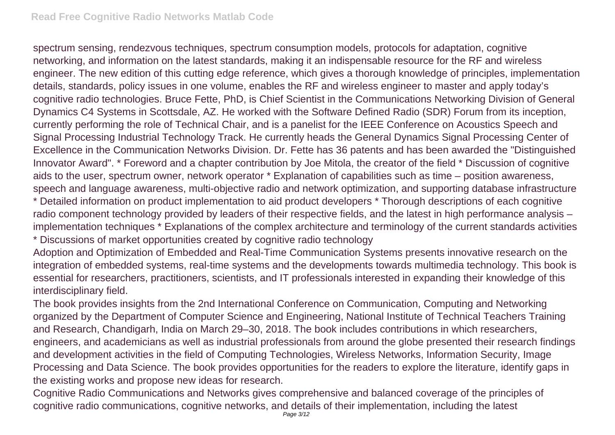spectrum sensing, rendezvous techniques, spectrum consumption models, protocols for adaptation, cognitive networking, and information on the latest standards, making it an indispensable resource for the RF and wireless engineer. The new edition of this cutting edge reference, which gives a thorough knowledge of principles, implementation details, standards, policy issues in one volume, enables the RF and wireless engineer to master and apply today's cognitive radio technologies. Bruce Fette, PhD, is Chief Scientist in the Communications Networking Division of General Dynamics C4 Systems in Scottsdale, AZ. He worked with the Software Defined Radio (SDR) Forum from its inception, currently performing the role of Technical Chair, and is a panelist for the IEEE Conference on Acoustics Speech and Signal Processing Industrial Technology Track. He currently heads the General Dynamics Signal Processing Center of Excellence in the Communication Networks Division. Dr. Fette has 36 patents and has been awarded the "Distinguished Innovator Award". \* Foreword and a chapter contribution by Joe Mitola, the creator of the field \* Discussion of cognitive aids to the user, spectrum owner, network operator \* Explanation of capabilities such as time – position awareness, speech and language awareness, multi-objective radio and network optimization, and supporting database infrastructure

\* Detailed information on product implementation to aid product developers \* Thorough descriptions of each cognitive radio component technology provided by leaders of their respective fields, and the latest in high performance analysis – implementation techniques \* Explanations of the complex architecture and terminology of the current standards activities \* Discussions of market opportunities created by cognitive radio technology

Adoption and Optimization of Embedded and Real-Time Communication Systems presents innovative research on the integration of embedded systems, real-time systems and the developments towards multimedia technology. This book is essential for researchers, practitioners, scientists, and IT professionals interested in expanding their knowledge of this interdisciplinary field.

The book provides insights from the 2nd International Conference on Communication, Computing and Networking organized by the Department of Computer Science and Engineering, National Institute of Technical Teachers Training and Research, Chandigarh, India on March 29–30, 2018. The book includes contributions in which researchers, engineers, and academicians as well as industrial professionals from around the globe presented their research findings and development activities in the field of Computing Technologies, Wireless Networks, Information Security, Image Processing and Data Science. The book provides opportunities for the readers to explore the literature, identify gaps in the existing works and propose new ideas for research.

Cognitive Radio Communications and Networks gives comprehensive and balanced coverage of the principles of cognitive radio communications, cognitive networks, and details of their implementation, including the latest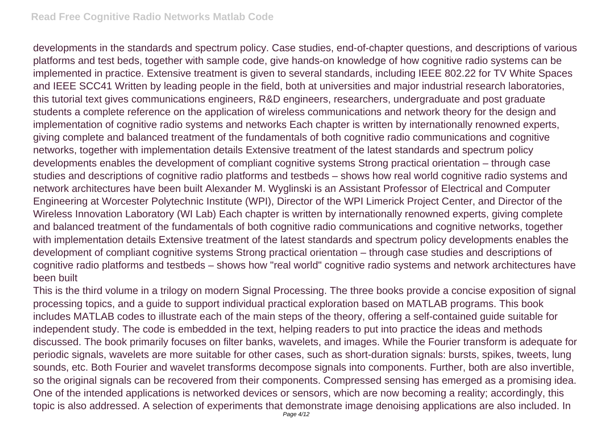developments in the standards and spectrum policy. Case studies, end-of-chapter questions, and descriptions of various platforms and test beds, together with sample code, give hands-on knowledge of how cognitive radio systems can be implemented in practice. Extensive treatment is given to several standards, including IEEE 802.22 for TV White Spaces and IEEE SCC41 Written by leading people in the field, both at universities and major industrial research laboratories, this tutorial text gives communications engineers, R&D engineers, researchers, undergraduate and post graduate students a complete reference on the application of wireless communications and network theory for the design and implementation of cognitive radio systems and networks Each chapter is written by internationally renowned experts, giving complete and balanced treatment of the fundamentals of both cognitive radio communications and cognitive networks, together with implementation details Extensive treatment of the latest standards and spectrum policy developments enables the development of compliant cognitive systems Strong practical orientation – through case studies and descriptions of cognitive radio platforms and testbeds – shows how real world cognitive radio systems and network architectures have been built Alexander M. Wyglinski is an Assistant Professor of Electrical and Computer Engineering at Worcester Polytechnic Institute (WPI), Director of the WPI Limerick Project Center, and Director of the Wireless Innovation Laboratory (WI Lab) Each chapter is written by internationally renowned experts, giving complete and balanced treatment of the fundamentals of both cognitive radio communications and cognitive networks, together with implementation details Extensive treatment of the latest standards and spectrum policy developments enables the development of compliant cognitive systems Strong practical orientation – through case studies and descriptions of cognitive radio platforms and testbeds – shows how "real world" cognitive radio systems and network architectures have been built

This is the third volume in a trilogy on modern Signal Processing. The three books provide a concise exposition of signal processing topics, and a guide to support individual practical exploration based on MATLAB programs. This book includes MATLAB codes to illustrate each of the main steps of the theory, offering a self-contained guide suitable for independent study. The code is embedded in the text, helping readers to put into practice the ideas and methods discussed. The book primarily focuses on filter banks, wavelets, and images. While the Fourier transform is adequate for periodic signals, wavelets are more suitable for other cases, such as short-duration signals: bursts, spikes, tweets, lung sounds, etc. Both Fourier and wavelet transforms decompose signals into components. Further, both are also invertible, so the original signals can be recovered from their components. Compressed sensing has emerged as a promising idea. One of the intended applications is networked devices or sensors, which are now becoming a reality; accordingly, this topic is also addressed. A selection of experiments that demonstrate image denoising applications are also included. In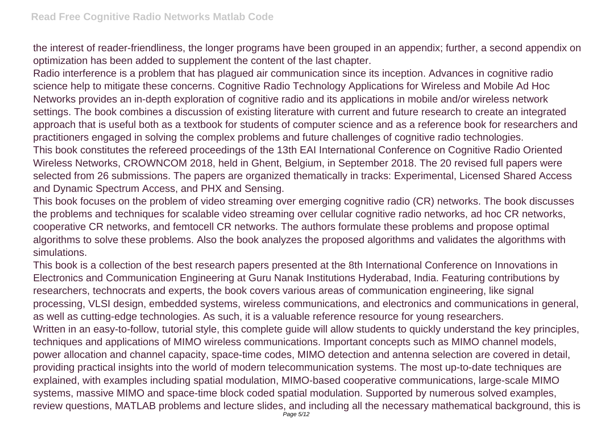the interest of reader-friendliness, the longer programs have been grouped in an appendix; further, a second appendix on optimization has been added to supplement the content of the last chapter.

Radio interference is a problem that has plagued air communication since its inception. Advances in cognitive radio science help to mitigate these concerns. Cognitive Radio Technology Applications for Wireless and Mobile Ad Hoc Networks provides an in-depth exploration of cognitive radio and its applications in mobile and/or wireless network settings. The book combines a discussion of existing literature with current and future research to create an integrated approach that is useful both as a textbook for students of computer science and as a reference book for researchers and practitioners engaged in solving the complex problems and future challenges of cognitive radio technologies.

This book constitutes the refereed proceedings of the 13th EAI International Conference on Cognitive Radio Oriented Wireless Networks, CROWNCOM 2018, held in Ghent, Belgium, in September 2018. The 20 revised full papers were selected from 26 submissions. The papers are organized thematically in tracks: Experimental, Licensed Shared Access and Dynamic Spectrum Access, and PHX and Sensing.

This book focuses on the problem of video streaming over emerging cognitive radio (CR) networks. The book discusses the problems and techniques for scalable video streaming over cellular cognitive radio networks, ad hoc CR networks, cooperative CR networks, and femtocell CR networks. The authors formulate these problems and propose optimal algorithms to solve these problems. Also the book analyzes the proposed algorithms and validates the algorithms with simulations.

This book is a collection of the best research papers presented at the 8th International Conference on Innovations in Electronics and Communication Engineering at Guru Nanak Institutions Hyderabad, India. Featuring contributions by researchers, technocrats and experts, the book covers various areas of communication engineering, like signal processing, VLSI design, embedded systems, wireless communications, and electronics and communications in general, as well as cutting-edge technologies. As such, it is a valuable reference resource for young researchers. Written in an easy-to-follow, tutorial style, this complete guide will allow students to quickly understand the key principles, techniques and applications of MIMO wireless communications. Important concepts such as MIMO channel models, power allocation and channel capacity, space-time codes, MIMO detection and antenna selection are covered in detail, providing practical insights into the world of modern telecommunication systems. The most up-to-date techniques are explained, with examples including spatial modulation, MIMO-based cooperative communications, large-scale MIMO systems, massive MIMO and space-time block coded spatial modulation. Supported by numerous solved examples, review questions, MATLAB problems and lecture slides, and including all the necessary mathematical background, this is Page  $5/12$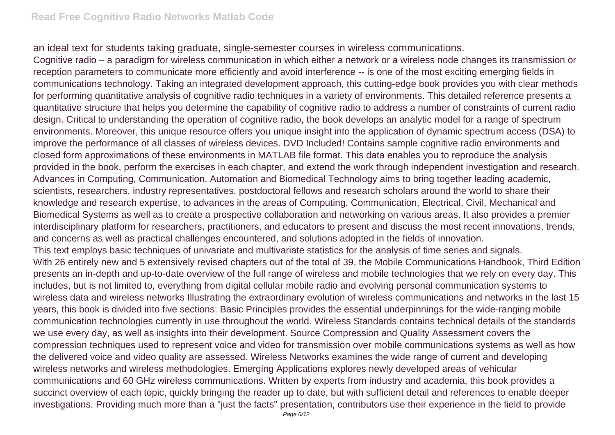an ideal text for students taking graduate, single-semester courses in wireless communications.

Cognitive radio – a paradigm for wireless communication in which either a network or a wireless node changes its transmission or reception parameters to communicate more efficiently and avoid interference -- is one of the most exciting emerging fields in communications technology. Taking an integrated development approach, this cutting-edge book provides you with clear methods for performing quantitative analysis of cognitive radio techniques in a variety of environments. This detailed reference presents a quantitative structure that helps you determine the capability of cognitive radio to address a number of constraints of current radio design. Critical to understanding the operation of cognitive radio, the book develops an analytic model for a range of spectrum environments. Moreover, this unique resource offers you unique insight into the application of dynamic spectrum access (DSA) to improve the performance of all classes of wireless devices. DVD Included! Contains sample cognitive radio environments and closed form approximations of these environments in MATLAB file format. This data enables you to reproduce the analysis provided in the book, perform the exercises in each chapter, and extend the work through independent investigation and research. Advances in Computing, Communication, Automation and Biomedical Technology aims to bring together leading academic, scientists, researchers, industry representatives, postdoctoral fellows and research scholars around the world to share their knowledge and research expertise, to advances in the areas of Computing, Communication, Electrical, Civil, Mechanical and Biomedical Systems as well as to create a prospective collaboration and networking on various areas. It also provides a premier interdisciplinary platform for researchers, practitioners, and educators to present and discuss the most recent innovations, trends, and concerns as well as practical challenges encountered, and solutions adopted in the fields of innovation. This text employs basic techniques of univariate and multivariate statistics for the analysis of time series and signals. With 26 entirely new and 5 extensively revised chapters out of the total of 39, the Mobile Communications Handbook, Third Edition presents an in-depth and up-to-date overview of the full range of wireless and mobile technologies that we rely on every day. This includes, but is not limited to, everything from digital cellular mobile radio and evolving personal communication systems to wireless data and wireless networks Illustrating the extraordinary evolution of wireless communications and networks in the last 15 years, this book is divided into five sections: Basic Principles provides the essential underpinnings for the wide-ranging mobile communication technologies currently in use throughout the world. Wireless Standards contains technical details of the standards we use every day, as well as insights into their development. Source Compression and Quality Assessment covers the compression techniques used to represent voice and video for transmission over mobile communications systems as well as how the delivered voice and video quality are assessed. Wireless Networks examines the wide range of current and developing wireless networks and wireless methodologies. Emerging Applications explores newly developed areas of vehicular communications and 60 GHz wireless communications. Written by experts from industry and academia, this book provides a succinct overview of each topic, quickly bringing the reader up to date, but with sufficient detail and references to enable deeper investigations. Providing much more than a "just the facts" presentation, contributors use their experience in the field to provide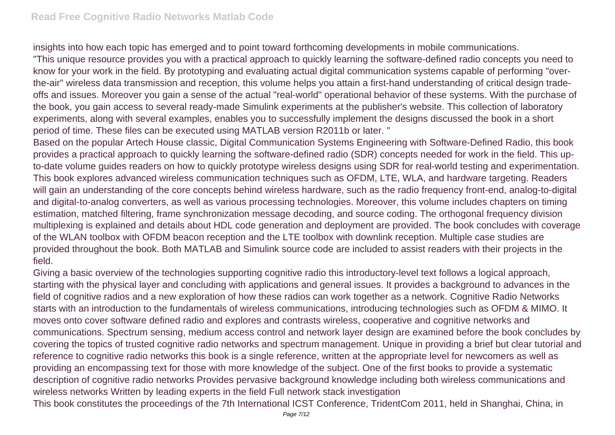insights into how each topic has emerged and to point toward forthcoming developments in mobile communications. "This unique resource provides you with a practical approach to quickly learning the software-defined radio concepts you need to know for your work in the field. By prototyping and evaluating actual digital communication systems capable of performing "overthe-air" wireless data transmission and reception, this volume helps you attain a first-hand understanding of critical design tradeoffs and issues. Moreover you gain a sense of the actual "real-world" operational behavior of these systems. With the purchase of the book, you gain access to several ready-made Simulink experiments at the publisher's website. This collection of laboratory experiments, along with several examples, enables you to successfully implement the designs discussed the book in a short period of time. These files can be executed using MATLAB version R2011b or later. "

Based on the popular Artech House classic, Digital Communication Systems Engineering with Software-Defined Radio, this book provides a practical approach to quickly learning the software-defined radio (SDR) concepts needed for work in the field. This upto-date volume guides readers on how to quickly prototype wireless designs using SDR for real-world testing and experimentation. This book explores advanced wireless communication techniques such as OFDM, LTE, WLA, and hardware targeting. Readers will gain an understanding of the core concepts behind wireless hardware, such as the radio frequency front-end, analog-to-digital and digital-to-analog converters, as well as various processing technologies. Moreover, this volume includes chapters on timing estimation, matched filtering, frame synchronization message decoding, and source coding. The orthogonal frequency division multiplexing is explained and details about HDL code generation and deployment are provided. The book concludes with coverage of the WLAN toolbox with OFDM beacon reception and the LTE toolbox with downlink reception. Multiple case studies are provided throughout the book. Both MATLAB and Simulink source code are included to assist readers with their projects in the field.

Giving a basic overview of the technologies supporting cognitive radio this introductory-level text follows a logical approach, starting with the physical layer and concluding with applications and general issues. It provides a background to advances in the field of cognitive radios and a new exploration of how these radios can work together as a network. Cognitive Radio Networks starts with an introduction to the fundamentals of wireless communications, introducing technologies such as OFDM & MIMO. It moves onto cover software defined radio and explores and contrasts wireless, cooperative and cognitive networks and communications. Spectrum sensing, medium access control and network layer design are examined before the book concludes by covering the topics of trusted cognitive radio networks and spectrum management. Unique in providing a brief but clear tutorial and reference to cognitive radio networks this book is a single reference, written at the appropriate level for newcomers as well as providing an encompassing text for those with more knowledge of the subject. One of the first books to provide a systematic description of cognitive radio networks Provides pervasive background knowledge including both wireless communications and wireless networks Written by leading experts in the field Full network stack investigation

This book constitutes the proceedings of the 7th International ICST Conference, TridentCom 2011, held in Shanghai, China, in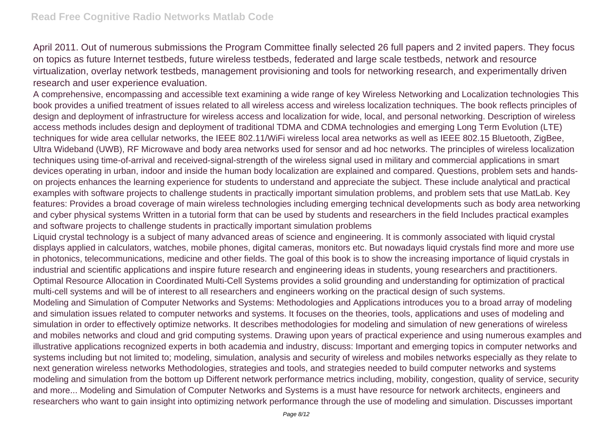April 2011. Out of numerous submissions the Program Committee finally selected 26 full papers and 2 invited papers. They focus on topics as future Internet testbeds, future wireless testbeds, federated and large scale testbeds, network and resource virtualization, overlay network testbeds, management provisioning and tools for networking research, and experimentally driven research and user experience evaluation.

A comprehensive, encompassing and accessible text examining a wide range of key Wireless Networking and Localization technologies This book provides a unified treatment of issues related to all wireless access and wireless localization techniques. The book reflects principles of design and deployment of infrastructure for wireless access and localization for wide, local, and personal networking. Description of wireless access methods includes design and deployment of traditional TDMA and CDMA technologies and emerging Long Term Evolution (LTE) techniques for wide area cellular networks, the IEEE 802.11/WiFi wireless local area networks as well as IEEE 802.15 Bluetooth, ZigBee, Ultra Wideband (UWB), RF Microwave and body area networks used for sensor and ad hoc networks. The principles of wireless localization techniques using time-of-arrival and received-signal-strength of the wireless signal used in military and commercial applications in smart devices operating in urban, indoor and inside the human body localization are explained and compared. Questions, problem sets and handson projects enhances the learning experience for students to understand and appreciate the subject. These include analytical and practical examples with software projects to challenge students in practically important simulation problems, and problem sets that use MatLab. Key features: Provides a broad coverage of main wireless technologies including emerging technical developments such as body area networking and cyber physical systems Written in a tutorial form that can be used by students and researchers in the field Includes practical examples and software projects to challenge students in practically important simulation problems

Liquid crystal technology is a subject of many advanced areas of science and engineering. It is commonly associated with liquid crystal displays applied in calculators, watches, mobile phones, digital cameras, monitors etc. But nowadays liquid crystals find more and more use in photonics, telecommunications, medicine and other fields. The goal of this book is to show the increasing importance of liquid crystals in industrial and scientific applications and inspire future research and engineering ideas in students, young researchers and practitioners. Optimal Resource Allocation in Coordinated Multi-Cell Systems provides a solid grounding and understanding for optimization of practical multi-cell systems and will be of interest to all researchers and engineers working on the practical design of such systems.

Modeling and Simulation of Computer Networks and Systems: Methodologies and Applications introduces you to a broad array of modeling and simulation issues related to computer networks and systems. It focuses on the theories, tools, applications and uses of modeling and simulation in order to effectively optimize networks. It describes methodologies for modeling and simulation of new generations of wireless and mobiles networks and cloud and grid computing systems. Drawing upon years of practical experience and using numerous examples and illustrative applications recognized experts in both academia and industry, discuss: Important and emerging topics in computer networks and systems including but not limited to; modeling, simulation, analysis and security of wireless and mobiles networks especially as they relate to next generation wireless networks Methodologies, strategies and tools, and strategies needed to build computer networks and systems modeling and simulation from the bottom up Different network performance metrics including, mobility, congestion, quality of service, security and more... Modeling and Simulation of Computer Networks and Systems is a must have resource for network architects, engineers and researchers who want to gain insight into optimizing network performance through the use of modeling and simulation. Discusses important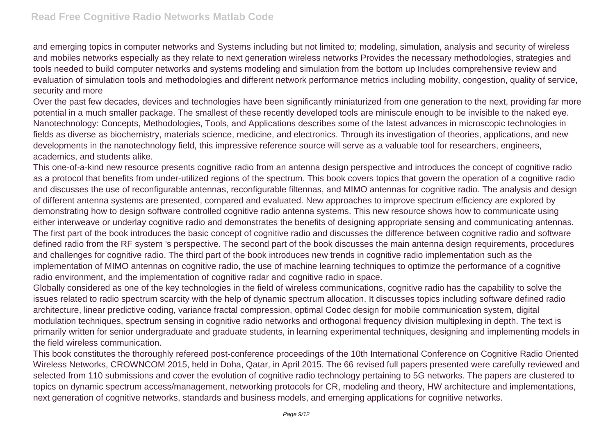and emerging topics in computer networks and Systems including but not limited to; modeling, simulation, analysis and security of wireless and mobiles networks especially as they relate to next generation wireless networks Provides the necessary methodologies, strategies and tools needed to build computer networks and systems modeling and simulation from the bottom up Includes comprehensive review and evaluation of simulation tools and methodologies and different network performance metrics including mobility, congestion, quality of service, security and more

Over the past few decades, devices and technologies have been significantly miniaturized from one generation to the next, providing far more potential in a much smaller package. The smallest of these recently developed tools are miniscule enough to be invisible to the naked eye. Nanotechnology: Concepts, Methodologies, Tools, and Applications describes some of the latest advances in microscopic technologies in fields as diverse as biochemistry, materials science, medicine, and electronics. Through its investigation of theories, applications, and new developments in the nanotechnology field, this impressive reference source will serve as a valuable tool for researchers, engineers, academics, and students alike.

This one-of-a-kind new resource presents cognitive radio from an antenna design perspective and introduces the concept of cognitive radio as a protocol that benefits from under-utilized regions of the spectrum. This book covers topics that govern the operation of a cognitive radio and discusses the use of reconfigurable antennas, reconfigurable filtennas, and MIMO antennas for cognitive radio. The analysis and design of different antenna systems are presented, compared and evaluated. New approaches to improve spectrum efficiency are explored by demonstrating how to design software controlled cognitive radio antenna systems. This new resource shows how to communicate using either interweave or underlay cognitive radio and demonstrates the benefits of designing appropriate sensing and communicating antennas. The first part of the book introduces the basic concept of cognitive radio and discusses the difference between cognitive radio and software defined radio from the RF system 's perspective. The second part of the book discusses the main antenna design requirements, procedures and challenges for cognitive radio. The third part of the book introduces new trends in cognitive radio implementation such as the implementation of MIMO antennas on cognitive radio, the use of machine learning techniques to optimize the performance of a cognitive radio environment, and the implementation of cognitive radar and cognitive radio in space.

Globally considered as one of the key technologies in the field of wireless communications, cognitive radio has the capability to solve the issues related to radio spectrum scarcity with the help of dynamic spectrum allocation. It discusses topics including software defined radio architecture, linear predictive coding, variance fractal compression, optimal Codec design for mobile communication system, digital modulation techniques, spectrum sensing in cognitive radio networks and orthogonal frequency division multiplexing in depth. The text is primarily written for senior undergraduate and graduate students, in learning experimental techniques, designing and implementing models in the field wireless communication.

This book constitutes the thoroughly refereed post-conference proceedings of the 10th International Conference on Cognitive Radio Oriented Wireless Networks, CROWNCOM 2015, held in Doha, Qatar, in April 2015. The 66 revised full papers presented were carefully reviewed and selected from 110 submissions and cover the evolution of cognitive radio technology pertaining to 5G networks. The papers are clustered to topics on dynamic spectrum access/management, networking protocols for CR, modeling and theory, HW architecture and implementations, next generation of cognitive networks, standards and business models, and emerging applications for cognitive networks.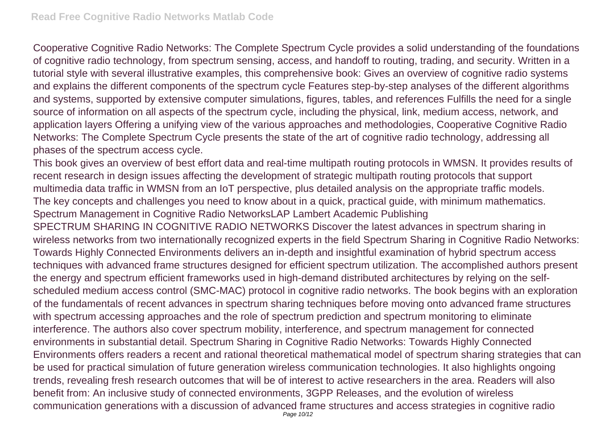Cooperative Cognitive Radio Networks: The Complete Spectrum Cycle provides a solid understanding of the foundations of cognitive radio technology, from spectrum sensing, access, and handoff to routing, trading, and security. Written in a tutorial style with several illustrative examples, this comprehensive book: Gives an overview of cognitive radio systems and explains the different components of the spectrum cycle Features step-by-step analyses of the different algorithms and systems, supported by extensive computer simulations, figures, tables, and references Fulfills the need for a single source of information on all aspects of the spectrum cycle, including the physical, link, medium access, network, and application layers Offering a unifying view of the various approaches and methodologies, Cooperative Cognitive Radio Networks: The Complete Spectrum Cycle presents the state of the art of cognitive radio technology, addressing all phases of the spectrum access cycle.

This book gives an overview of best effort data and real-time multipath routing protocols in WMSN. It provides results of recent research in design issues affecting the development of strategic multipath routing protocols that support multimedia data traffic in WMSN from an IoT perspective, plus detailed analysis on the appropriate traffic models. The key concepts and challenges you need to know about in a quick, practical guide, with minimum mathematics. Spectrum Management in Cognitive Radio NetworksLAP Lambert Academic Publishing

SPECTRUM SHARING IN COGNITIVE RADIO NETWORKS Discover the latest advances in spectrum sharing in wireless networks from two internationally recognized experts in the field Spectrum Sharing in Cognitive Radio Networks: Towards Highly Connected Environments delivers an in-depth and insightful examination of hybrid spectrum access techniques with advanced frame structures designed for efficient spectrum utilization. The accomplished authors present the energy and spectrum efficient frameworks used in high-demand distributed architectures by relying on the selfscheduled medium access control (SMC-MAC) protocol in cognitive radio networks. The book begins with an exploration of the fundamentals of recent advances in spectrum sharing techniques before moving onto advanced frame structures with spectrum accessing approaches and the role of spectrum prediction and spectrum monitoring to eliminate interference. The authors also cover spectrum mobility, interference, and spectrum management for connected environments in substantial detail. Spectrum Sharing in Cognitive Radio Networks: Towards Highly Connected Environments offers readers a recent and rational theoretical mathematical model of spectrum sharing strategies that can be used for practical simulation of future generation wireless communication technologies. It also highlights ongoing trends, revealing fresh research outcomes that will be of interest to active researchers in the area. Readers will also benefit from: An inclusive study of connected environments, 3GPP Releases, and the evolution of wireless communication generations with a discussion of advanced frame structures and access strategies in cognitive radio Page 10/12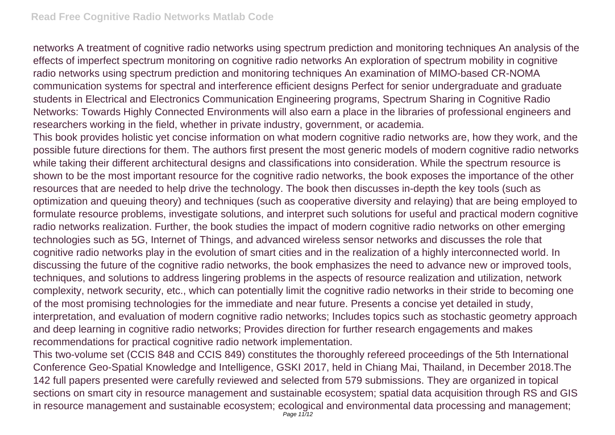networks A treatment of cognitive radio networks using spectrum prediction and monitoring techniques An analysis of the effects of imperfect spectrum monitoring on cognitive radio networks An exploration of spectrum mobility in cognitive radio networks using spectrum prediction and monitoring techniques An examination of MIMO-based CR-NOMA communication systems for spectral and interference efficient designs Perfect for senior undergraduate and graduate students in Electrical and Electronics Communication Engineering programs, Spectrum Sharing in Cognitive Radio Networks: Towards Highly Connected Environments will also earn a place in the libraries of professional engineers and researchers working in the field, whether in private industry, government, or academia.

This book provides holistic yet concise information on what modern cognitive radio networks are, how they work, and the possible future directions for them. The authors first present the most generic models of modern cognitive radio networks while taking their different architectural designs and classifications into consideration. While the spectrum resource is shown to be the most important resource for the cognitive radio networks, the book exposes the importance of the other resources that are needed to help drive the technology. The book then discusses in-depth the key tools (such as optimization and queuing theory) and techniques (such as cooperative diversity and relaying) that are being employed to formulate resource problems, investigate solutions, and interpret such solutions for useful and practical modern cognitive radio networks realization. Further, the book studies the impact of modern cognitive radio networks on other emerging technologies such as 5G, Internet of Things, and advanced wireless sensor networks and discusses the role that cognitive radio networks play in the evolution of smart cities and in the realization of a highly interconnected world. In discussing the future of the cognitive radio networks, the book emphasizes the need to advance new or improved tools, techniques, and solutions to address lingering problems in the aspects of resource realization and utilization, network complexity, network security, etc., which can potentially limit the cognitive radio networks in their stride to becoming one of the most promising technologies for the immediate and near future. Presents a concise yet detailed in study, interpretation, and evaluation of modern cognitive radio networks; Includes topics such as stochastic geometry approach and deep learning in cognitive radio networks; Provides direction for further research engagements and makes recommendations for practical cognitive radio network implementation.

This two-volume set (CCIS 848 and CCIS 849) constitutes the thoroughly refereed proceedings of the 5th International Conference Geo-Spatial Knowledge and Intelligence, GSKI 2017, held in Chiang Mai, Thailand, in December 2018.The 142 full papers presented were carefully reviewed and selected from 579 submissions. They are organized in topical sections on smart city in resource management and sustainable ecosystem; spatial data acquisition through RS and GIS in resource management and sustainable ecosystem; ecological and environmental data processing and management; Page 11/12